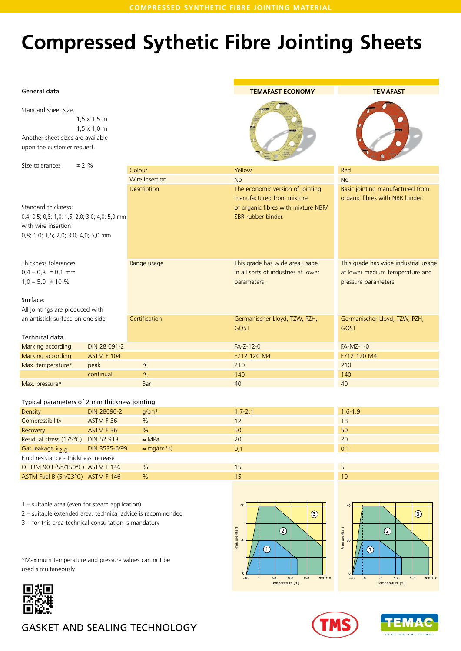# **Compressed Sythetic Fibre Jointing Sheets**

#### General data

Standard sheet size:

1,5 x 1,5 m 1,5 x 1,0 m Another sheet sizes are available upon the customer request.

Size tolerances  $\pm 2 \%$ 

Standard thickness: 0,4; 0,5; 0,8; 1,0; 1,5; 2,0; 3,0 with wire insertion 0,8; 1,0; 1,5; 2,0; 3,0; 4,0;

Colour Wire insertion Description

Thickness tolerances:  $0,4 - 0,8 \pm 0,1 \text{ mm}$  $1,0 - 5,0 \pm 10 \%$ 

#### Surface:

All jointings are produced an antistick surface on one

|                   |              |              | GOST        | <b>GOST</b>      |
|-------------------|--------------|--------------|-------------|------------------|
| Technical data    |              |              |             |                  |
| Marking according | DIN 28 091-2 |              | $FA-Z-12-0$ | <b>FA-MZ-1-0</b> |
| Marking according | ASTM F 104   |              | F712 120 M4 | F712 120 M4      |
| Max. temperature* | peak         | °C           | 210         | 210              |
|                   | continual    | $^{\circ}$ C | 140         | 140              |
| Max. pressure*    |              | <b>Bar</b>   | 40          | 40               |

#### Typical parameters of 2 mm thickness jointing

| Density                               | DIN 28090-2   | q/cm <sup>3</sup>  | $1,7 - 2,1$ | $1,6-1,9$ |
|---------------------------------------|---------------|--------------------|-------------|-----------|
| Compressibility                       | ASTM F 36     | $\frac{9}{6}$      | 12          | 18        |
| Recovery                              | ASTM F36      | $\frac{9}{6}$      | 50          | 50        |
| Residual stress (175°C) DIN 52 913    |               | $\approx$ MPa      | 20          | 20        |
| Gas leakage $\lambda_{2,0}$           | DIN 3535-6/99 | $\approx$ mg/(m*s) | 0.1         | 0,1       |
| Fluid resistance - thickness increase |               |                    |             |           |
| Oil IRM 903 (5h/150°C) ASTM F 146     |               | $\frac{9}{6}$      | 15          |           |
| ASTM Fuel B (5h/23°C) ASTM F 146      |               | $\%$               | 15          | 10        |

1 – suitable area (even for steam application)

2 – suitable extended area, technical advice is recommended

3 – for this area technical consultation is mandatory

\*Maximum temperature and pressure values can not be used simultaneously.











# GASKET AND SEALING TECHNOLOGY

| 0; 4,0; 5,0 mm<br>5,0 mm |               | of organic fibres with mixture NBR/<br>SBR rubber binder.                            |                                                                                                 |
|--------------------------|---------------|--------------------------------------------------------------------------------------|-------------------------------------------------------------------------------------------------|
| with                     | Range usage   | This grade has wide area usage<br>in all sorts of industries at lower<br>parameters. | This grade has wide industrial usage<br>at lower medium temperature and<br>pressure parameters. |
| e side.                  | Certification | Germanischer Lloyd, TZW, PZH,<br>GOST                                                | Germanischer Lloyd, TZW, PZH,<br><b>GOST</b>                                                    |
| IN 28 091-2              |               | $FA-Z-12-0$                                                                          | $FA-MZ-1-0$                                                                                     |
| <b>STM F 104</b>         |               | F712 120 M4                                                                          | F712 120 M4                                                                                     |
| eak                      | $^{\circ}$ C  | 210                                                                                  | 210                                                                                             |
| ontinual                 | $^{\circ}$ C  | 140                                                                                  | 140                                                                                             |
|                          | Bar           | 40                                                                                   | 40                                                                                              |
|                          |               |                                                                                      |                                                                                                 |

Yellow No

## **TEMAFAST ECONOMY**

#### **TEMAFAST**

Basic jointing manufactured from organic fibres with NBR binder.

Red No



The economic version of jointing manufactured from mixture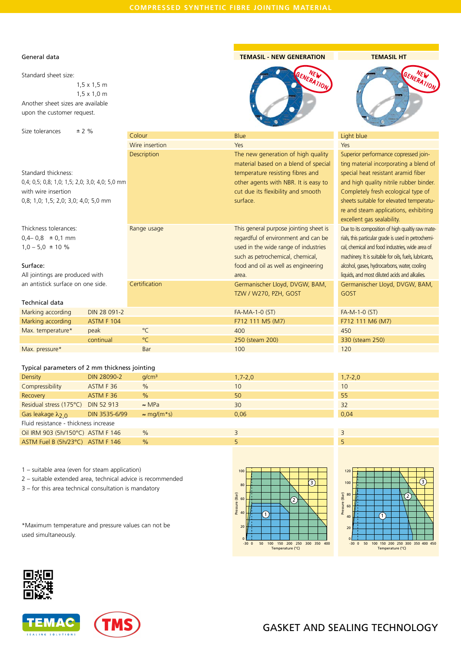Blue Yes

## General data

Standard sheet size: 1,5 x 1,5 m 1,5 x 1,0 m Another sheet sizes are available upon the customer request.

Size tolerances  $\pm 2 \%$ 

## Standard thickness:

0,4; 0,5; 0,8; 1,0; 1,5; 2,0; 3,0; 4,0; 5,0 mm with wire insertion 0,8; 1,0; 1,5; 2,0; 3,0; 4,0; 5,0 mm

Colour Wire insertion **Description** 

Range usage

**Certification** 

Thickness tolerances:  $0,4-0,8 \pm 0,1 \text{ mm}$  $1,0 - 5,0 \pm 10 \%$ 

#### Surface:

All jointings are produced with an antistick surface on one side.

### Technical data

| Marking according | DIN 28 091-2 |     | <b>FA-MA-1-0 (ST)</b> | $FA-M-1-0(ST)$   |  |  |
|-------------------|--------------|-----|-----------------------|------------------|--|--|
| Marking according | ASTM F 104   |     | F712 111 M5 (M7)      | F712 111 M6 (M7) |  |  |
| Max. temperature* | peak         | °C  | 400                   | 450              |  |  |
|                   | continual    | °C  | 250 (steam 200)       | 330 (steam 250)  |  |  |
| Max. pressure*    |              | Bar | 100                   | 120              |  |  |

### Typical parameters of 2 mm thickness jointing

| Density                               | DIN 28090-2       | q/cm <sup>3</sup>  | $1,7 - 2,0$ | $1,7 - 2,0$ |  |  |
|---------------------------------------|-------------------|--------------------|-------------|-------------|--|--|
| Compressibility                       | ASTM F36          | $\frac{0}{0}$      | 10          | 10          |  |  |
| Recovery                              | ASTM F 36         | $\frac{0}{0}$      | 50          | 55          |  |  |
| Residual stress (175°C)               | <b>DIN 52 913</b> | $\approx$ MPa      | 30          | 32          |  |  |
| Gas leakage $\lambda_{2,0}$           | DIN 3535-6/99     | $\approx$ mg/(m*s) | 0.06        | 0,04        |  |  |
| Fluid resistance - thickness increase |                   |                    |             |             |  |  |
| Oil IRM 903 (5h/150°C) ASTM F 146     |                   | $\frac{0}{0}$      | 3           | 3           |  |  |
| ASTM Fuel B (5h/23°C) ASTM F 146      |                   | $\frac{0}{0}$      |             | 5           |  |  |

1 – suitable area (even for steam application)

2 – suitable extended area, technical advice is recommended

3 – for this area technical consultation is mandatory

\*Maximum temperature and pressure values can not be used simultaneously.













# GASKET AND SEALING TECHNOLOGY

#### **TEMASIL - NEW GENERATION**



# GENERATION NEW

**TEMASIL HT**

| The new generation of high quality     | Superior performance copressed join-                   |
|----------------------------------------|--------------------------------------------------------|
| material based on a blend of special   | ting material incorporating a blend of                 |
| temperature resisting fibres and       | special heat resistant aramid fiber                    |
| other agents with NBR. It is easy to   | and high quality nitrile rubber binder.                |
| cut due its flexibility and smooth     | Completely fresh ecological type of                    |
| surface.                               | sheets suitable for elevated temperatu-                |
|                                        | re and steam applications, exhibiting                  |
|                                        | excellent gas sealability.                             |
| This general purpose jointing sheet is | Due to its composition of high qualtiy raw mate-       |
| regardful of environment and can be    | rials, this particular grade is used in petrochemi-    |
| used in the wide range of industries   | cal, chemical and food industries, wide area of        |
| such as petrochemical, chemical,       | machinery. It is suitable for oils, fuels, lubricants, |
| food and oil as well as engineering    | alcohol, gases, hydrocarbons, water, cooling           |
| area.                                  | liquids, and most diluted acids and alkalies.          |
| Germanischer Lloyd, DVGW, BAM,         | Germanischer Lloyd, DVGW, BAM,                         |
| TZW / W270, PZH, GOST                  | <b>GOST</b>                                            |
|                                        |                                                        |
| FA-MA-1-0 (ST)                         | $FA-M-1-0$ $(ST)$                                      |
| F712 111 M5 (M7)                       | F712 111 M6 (M7)                                       |
| 400                                    | 450                                                    |
| $250$ (staam $200$ )                   | $330 (cta)$ $750$                                      |

Light blue Yes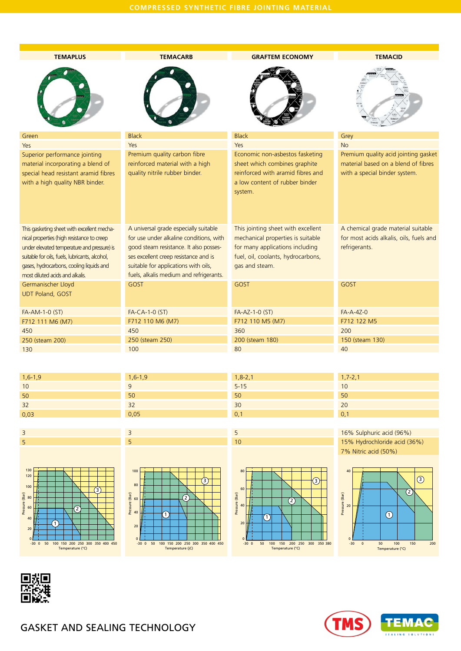| <b>TEMAPLUS</b>                                | <b>TEMACARB</b>                         | <b>GRAFTEM ECONOMY</b>             | <b>TEMACID</b>                          |  |  |
|------------------------------------------------|-----------------------------------------|------------------------------------|-----------------------------------------|--|--|
|                                                |                                         |                                    |                                         |  |  |
| Green                                          | <b>Black</b>                            | <b>Black</b>                       | Grey                                    |  |  |
| Yes                                            | Yes                                     | Yes                                | <b>No</b>                               |  |  |
| Superior performance jointing                  | Premium quality carbon fibre            | Economic non-asbestos fasketing    | Premium quality acid jointing gasket    |  |  |
| material incorporating a blend of              | reinforced material with a high         | sheet which combines graphite      | material based on a blend of fibres     |  |  |
| special head resistant aramid fibres           | quality nitrile rubber binder.          | reinforced with aramid fibres and  | with a special binder system.           |  |  |
| with a high quality NBR binder.                |                                         | a low content of rubber binder     |                                         |  |  |
|                                                |                                         | system.                            |                                         |  |  |
| This gasketing sheet with excellent mecha-     | A universal grade especially suitable   | This jointing sheet with excellent | A chemical grade material suitable      |  |  |
| nical properties (high resistance to creep     | for use under alkaline conditions, with | mechanical properties is suitable  | for most acids alkalis, oils, fuels and |  |  |
| under elevated temperature and pressure) is    | good steam resistance. It also posses-  | for many applications including    | refrigerants.                           |  |  |
| suitable for oils, fuels, lubricants, alcohol, | ses excellent creep resistance and is   | fuel, oil, coolants, hydrocarbons, |                                         |  |  |
| gases, hydrocarbons, cooling liquids and       | suitable for applications with oils,    | gas and steam.                     |                                         |  |  |
| most diluted acids and alkalis.                | fuels, alkalis medium and refrigerants. |                                    |                                         |  |  |
| Germanischer Lloyd                             | GOST                                    | GOST                               | GOST                                    |  |  |
| <b>UDT Poland, GOST</b>                        |                                         |                                    |                                         |  |  |
|                                                |                                         |                                    |                                         |  |  |
| FA-AM-1-0 (ST)                                 | FA-CA-1-0 (ST)                          | FA-AZ-1-0 (ST)                     | $FA-A-AZ-0$                             |  |  |
| F712 111 M6 (M7)                               | F712 110 M6 (M7)                        | F712 110 M5 (M7)                   | F712 122 M5                             |  |  |
| 450                                            | 450                                     | 360                                | 200                                     |  |  |
| 250 (steam 200)                                | 250 (steam 250)                         | 200 (steam 180)                    | 150 (steam 130)                         |  |  |
| 130                                            | 100                                     | 80                                 | 40                                      |  |  |

| $1,6-1,9$ |
|-----------|
| 10        |
| 50        |
| 32        |
| 0,03      |









5 10

> $-300$  $\circ$

 $(1)$ 

50 100 150 200 250 300 350 380 Temperature (°C)

 $\overline{2}$ 

3

Ш

 $\overline{20}$ 

80

60 Pressure (Bar)<br>
ക

Pressure (Bar)

| 10  |  |
|-----|--|
| 50  |  |
| 20  |  |
| 0,1 |  |
|     |  |
|     |  |

16% Sulphuric acid (96%) 15% Hydrochloride acid (36%) 7% Nitric acid (50%)

1,7-2,1